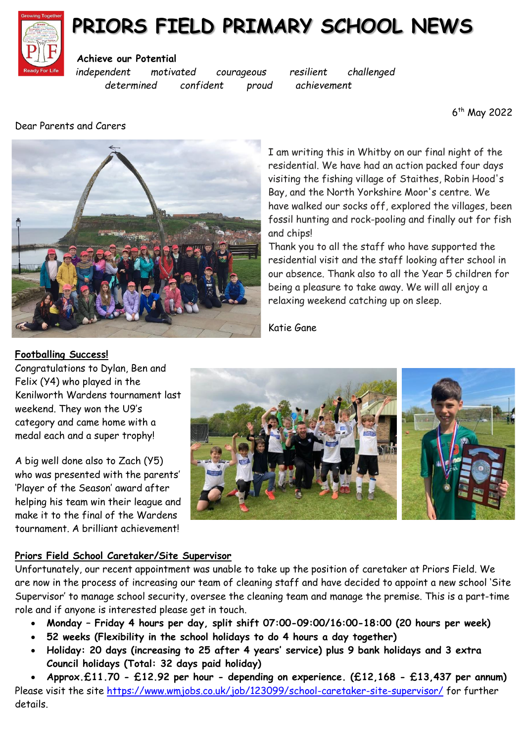

## **PRIORS FIELD PRIMARY SCHOOL NEWS**

#### **Achieve our Potential**

*independent motivated courageous resilient challenged determined confident proud achievement*

Dear Parents and Carers

6 th May 2022



I am writing this in Whitby on our final night of the residential. We have had an action packed four days visiting the fishing village of Staithes, Robin Hood's Bay, and the North Yorkshire Moor's centre. We have walked our socks off, explored the villages, been fossil hunting and rock-pooling and finally out for fish and chips!

Thank you to all the staff who have supported the residential visit and the staff looking after school in our absence. Thank also to all the Year 5 children for being a pleasure to take away. We will all enjoy a relaxing weekend catching up on sleep.

Katie Gane



Congratulations to Dylan, Ben and Felix (Y4) who played in the Kenilworth Wardens tournament last weekend. They won the U9's category and came home with a medal each and a super trophy!

A big well done also to Zach (Y5) who was presented with the parents' 'Player of the Season' award after helping his team win their league and make it to the final of the Wardens tournament. A brilliant achievement!



#### **Priors Field School Caretaker/Site Supervisor**

Unfortunately, our recent appointment was unable to take up the position of caretaker at Priors Field. We are now in the process of increasing our team of cleaning staff and have decided to appoint a new school 'Site Supervisor' to manage school security, oversee the cleaning team and manage the premise. This is a part-time role and if anyone is interested please get in touch.

- **Monday – Friday 4 hours per day, split shift 07:00-09:00/16:00-18:00 (20 hours per week)**
- **52 weeks (Flexibility in the school holidays to do 4 hours a day together)**
- **Holiday: 20 days (increasing to 25 after 4 years' service) plus 9 bank holidays and 3 extra Council holidays (Total: 32 days paid holiday)**

 **Approx.£11.70 - £12.92 per hour - depending on experience. (£12,168 - £13,437 per annum)** Please visit the site<https://www.wmjobs.co.uk/job/123099/school-caretaker-site-supervisor/> for further details.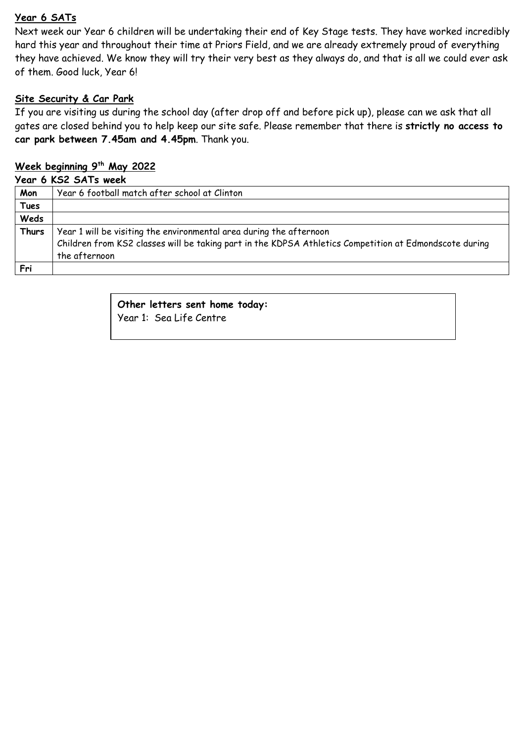#### **Year 6 SATs**

Next week our Year 6 children will be undertaking their end of Key Stage tests. They have worked incredibly hard this year and throughout their time at Priors Field, and we are already extremely proud of everything they have achieved. We know they will try their very best as they always do, and that is all we could ever ask of them. Good luck, Year 6!

#### **Site Security & Car Park**

If you are visiting us during the school day (after drop off and before pick up), please can we ask that all gates are closed behind you to help keep our site safe. Please remember that there is **strictly no access to car park between 7.45am and 4.45pm**. Thank you.

### **Week beginning 9th May 2022**

#### **Year 6 KS2 SATs week**

| Mon          | Year 6 football match after school at Clinton                                                          |
|--------------|--------------------------------------------------------------------------------------------------------|
| <b>Tues</b>  |                                                                                                        |
| Weds         |                                                                                                        |
| <b>Thurs</b> | Year 1 will be visiting the environmental area during the afternoon                                    |
|              | Children from KS2 classes will be taking part in the KDPSA Athletics Competition at Edmondscote during |
|              | the afternoon                                                                                          |
| Fri          |                                                                                                        |
|              |                                                                                                        |

### **Other letters sent home today:**

Year 1: Sea Life Centre